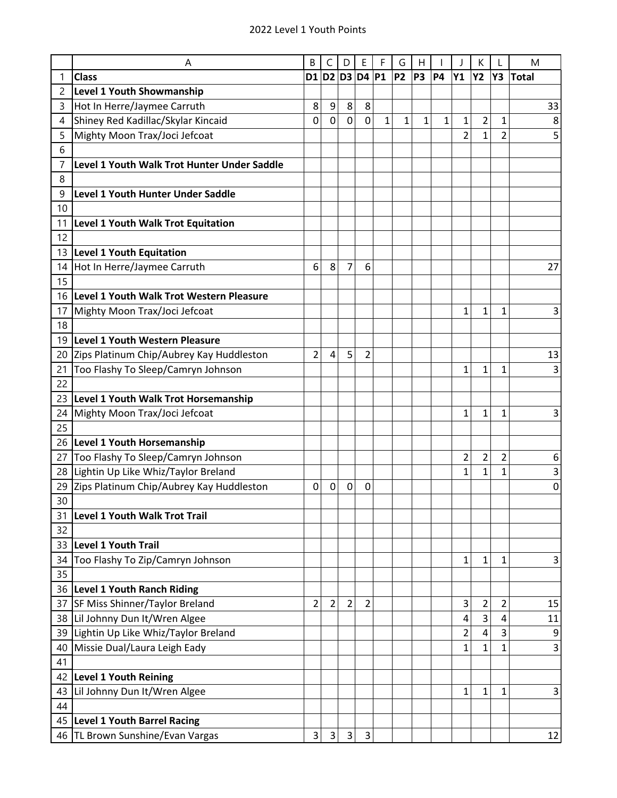| D2 <br><b>Class</b><br>D3<br>D <sub>4</sub><br><b>P1</b><br><b>P2</b><br>P <sub>3</sub><br><b>P4</b><br>Y1<br><b>Y2</b><br>Y3<br><b>Total</b><br>1<br>D1<br>2<br>Level 1 Youth Showmanship<br>Hot In Herre/Jaymee Carruth<br>8<br>9<br>8<br>8<br>3<br>0<br>0<br>$\overline{c}$<br>Shiney Red Kadillac/Skylar Kincaid<br>0<br>0<br>1<br>1<br>1<br>1<br>1<br>$\mathbf 1$<br>4<br>Mighty Moon Trax/Joci Jefcoat<br>$\overline{2}$<br>5<br>2<br>1<br>6<br>Level 1 Youth Walk Trot Hunter Under Saddle<br>7<br>8<br><b>Level 1 Youth Hunter Under Saddle</b><br>9<br>10<br>11<br>Level 1 Youth Walk Trot Equitation | 33<br>8<br>5            |
|----------------------------------------------------------------------------------------------------------------------------------------------------------------------------------------------------------------------------------------------------------------------------------------------------------------------------------------------------------------------------------------------------------------------------------------------------------------------------------------------------------------------------------------------------------------------------------------------------------------|-------------------------|
|                                                                                                                                                                                                                                                                                                                                                                                                                                                                                                                                                                                                                |                         |
|                                                                                                                                                                                                                                                                                                                                                                                                                                                                                                                                                                                                                |                         |
|                                                                                                                                                                                                                                                                                                                                                                                                                                                                                                                                                                                                                |                         |
|                                                                                                                                                                                                                                                                                                                                                                                                                                                                                                                                                                                                                |                         |
|                                                                                                                                                                                                                                                                                                                                                                                                                                                                                                                                                                                                                |                         |
|                                                                                                                                                                                                                                                                                                                                                                                                                                                                                                                                                                                                                |                         |
|                                                                                                                                                                                                                                                                                                                                                                                                                                                                                                                                                                                                                |                         |
|                                                                                                                                                                                                                                                                                                                                                                                                                                                                                                                                                                                                                |                         |
|                                                                                                                                                                                                                                                                                                                                                                                                                                                                                                                                                                                                                |                         |
|                                                                                                                                                                                                                                                                                                                                                                                                                                                                                                                                                                                                                |                         |
|                                                                                                                                                                                                                                                                                                                                                                                                                                                                                                                                                                                                                |                         |
| 12                                                                                                                                                                                                                                                                                                                                                                                                                                                                                                                                                                                                             |                         |
| <b>Level 1 Youth Equitation</b><br>13                                                                                                                                                                                                                                                                                                                                                                                                                                                                                                                                                                          |                         |
| Hot In Herre/Jaymee Carruth<br>6<br>8<br>7<br>14<br>6                                                                                                                                                                                                                                                                                                                                                                                                                                                                                                                                                          | 27                      |
| 15                                                                                                                                                                                                                                                                                                                                                                                                                                                                                                                                                                                                             |                         |
| Level 1 Youth Walk Trot Western Pleasure<br>16                                                                                                                                                                                                                                                                                                                                                                                                                                                                                                                                                                 |                         |
| Mighty Moon Trax/Joci Jefcoat<br>1<br>1<br>1<br>17                                                                                                                                                                                                                                                                                                                                                                                                                                                                                                                                                             | 3                       |
| 18                                                                                                                                                                                                                                                                                                                                                                                                                                                                                                                                                                                                             |                         |
| <b>Level 1 Youth Western Pleasure</b><br>19                                                                                                                                                                                                                                                                                                                                                                                                                                                                                                                                                                    |                         |
| $\overline{2}$<br>5<br>$\overline{2}$<br>Zips Platinum Chip/Aubrey Kay Huddleston<br>4<br>20                                                                                                                                                                                                                                                                                                                                                                                                                                                                                                                   | 13                      |
| 21<br>Too Flashy To Sleep/Camryn Johnson<br>1<br>1<br>1                                                                                                                                                                                                                                                                                                                                                                                                                                                                                                                                                        | 3                       |
| 22                                                                                                                                                                                                                                                                                                                                                                                                                                                                                                                                                                                                             |                         |
| Level 1 Youth Walk Trot Horsemanship<br>23                                                                                                                                                                                                                                                                                                                                                                                                                                                                                                                                                                     |                         |
| 24<br>Mighty Moon Trax/Joci Jefcoat<br>1<br>1<br>1                                                                                                                                                                                                                                                                                                                                                                                                                                                                                                                                                             | 3                       |
| 25<br>Level 1 Youth Horsemanship<br>26                                                                                                                                                                                                                                                                                                                                                                                                                                                                                                                                                                         |                         |
| $\overline{2}$<br>$\overline{\mathbf{c}}$<br>Too Flashy To Sleep/Camryn Johnson<br>2<br>27                                                                                                                                                                                                                                                                                                                                                                                                                                                                                                                     | 6                       |
| Lightin Up Like Whiz/Taylor Breland<br>$\mathbf 1$<br>1<br>28<br>1                                                                                                                                                                                                                                                                                                                                                                                                                                                                                                                                             | 3                       |
| Zips Platinum Chip/Aubrey Kay Huddleston<br>29<br>0<br>0<br>0<br>0                                                                                                                                                                                                                                                                                                                                                                                                                                                                                                                                             | 0                       |
| 30                                                                                                                                                                                                                                                                                                                                                                                                                                                                                                                                                                                                             |                         |
| <b>Level 1 Youth Walk Trot Trail</b><br>31                                                                                                                                                                                                                                                                                                                                                                                                                                                                                                                                                                     |                         |
| 32                                                                                                                                                                                                                                                                                                                                                                                                                                                                                                                                                                                                             |                         |
| 33<br><b>Level 1 Youth Trail</b>                                                                                                                                                                                                                                                                                                                                                                                                                                                                                                                                                                               |                         |
| Too Flashy To Zip/Camryn Johnson<br>$\mathbf{1}$<br>1<br>1<br>34                                                                                                                                                                                                                                                                                                                                                                                                                                                                                                                                               | 3                       |
| 35                                                                                                                                                                                                                                                                                                                                                                                                                                                                                                                                                                                                             |                         |
| 36 Level 1 Youth Ranch Riding                                                                                                                                                                                                                                                                                                                                                                                                                                                                                                                                                                                  |                         |
| $\overline{2}$<br>$\overline{2}$<br>$\overline{2}$<br>$\overline{\mathbf{c}}$<br>37 SF Miss Shinner/Taylor Breland<br>$\overline{2}$<br>3<br>2                                                                                                                                                                                                                                                                                                                                                                                                                                                                 | 15                      |
| 3<br>38 Lil Johnny Dun It/Wren Algee<br>4<br>4                                                                                                                                                                                                                                                                                                                                                                                                                                                                                                                                                                 | 11                      |
| Lightin Up Like Whiz/Taylor Breland<br>3<br>2<br>4<br>39                                                                                                                                                                                                                                                                                                                                                                                                                                                                                                                                                       | 9                       |
| Missie Dual/Laura Leigh Eady<br>1<br>40<br>1<br>1                                                                                                                                                                                                                                                                                                                                                                                                                                                                                                                                                              | $\overline{\mathbf{3}}$ |
| 41                                                                                                                                                                                                                                                                                                                                                                                                                                                                                                                                                                                                             |                         |
| <b>Level 1 Youth Reining</b><br>42                                                                                                                                                                                                                                                                                                                                                                                                                                                                                                                                                                             |                         |
| Lil Johnny Dun It/Wren Algee<br>1<br>1<br>1<br>43                                                                                                                                                                                                                                                                                                                                                                                                                                                                                                                                                              | 3                       |
| 44                                                                                                                                                                                                                                                                                                                                                                                                                                                                                                                                                                                                             |                         |
| 45 Level 1 Youth Barrel Racing                                                                                                                                                                                                                                                                                                                                                                                                                                                                                                                                                                                 |                         |
| 46 TL Brown Sunshine/Evan Vargas<br>3<br>$\vert 3 \vert$<br>$\overline{3}$<br>3                                                                                                                                                                                                                                                                                                                                                                                                                                                                                                                                | 12                      |